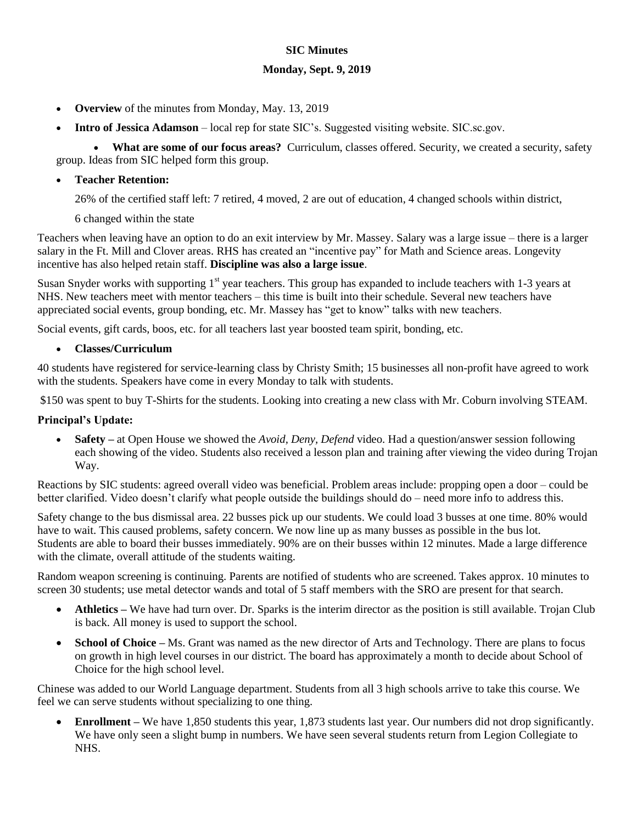### **SIC Minutes**

#### **Monday, Sept. 9, 2019**

- **Overview** of the minutes from Monday, May. 13, 2019
- **Intro of Jessica Adamson** local rep for state SIC's. Suggested visiting website. SIC.sc.gov.

 **What are some of our focus areas?** Curriculum, classes offered. Security, we created a security, safety group. Ideas from SIC helped form this group.

### **Teacher Retention:**

26% of the certified staff left: 7 retired, 4 moved, 2 are out of education, 4 changed schools within district,

#### 6 changed within the state

Teachers when leaving have an option to do an exit interview by Mr. Massey. Salary was a large issue – there is a larger salary in the Ft. Mill and Clover areas. RHS has created an "incentive pay" for Math and Science areas. Longevity incentive has also helped retain staff. **Discipline was also a large issue**.

Susan Snyder works with supporting 1<sup>st</sup> year teachers. This group has expanded to include teachers with 1-3 years at NHS. New teachers meet with mentor teachers – this time is built into their schedule. Several new teachers have appreciated social events, group bonding, etc. Mr. Massey has "get to know" talks with new teachers.

Social events, gift cards, boos, etc. for all teachers last year boosted team spirit, bonding, etc.

#### **Classes/Curriculum**

40 students have registered for service-learning class by Christy Smith; 15 businesses all non-profit have agreed to work with the students. Speakers have come in every Monday to talk with students.

\$150 was spent to buy T-Shirts for the students. Looking into creating a new class with Mr. Coburn involving STEAM.

## **Principal's Update:**

 **Safety –** at Open House we showed the *Avoid, Deny, Defend* video. Had a question/answer session following each showing of the video. Students also received a lesson plan and training after viewing the video during Trojan Way.

Reactions by SIC students: agreed overall video was beneficial. Problem areas include: propping open a door – could be better clarified. Video doesn't clarify what people outside the buildings should do – need more info to address this.

Safety change to the bus dismissal area. 22 busses pick up our students. We could load 3 busses at one time. 80% would have to wait. This caused problems, safety concern. We now line up as many busses as possible in the bus lot. Students are able to board their busses immediately. 90% are on their busses within 12 minutes. Made a large difference with the climate, overall attitude of the students waiting.

Random weapon screening is continuing. Parents are notified of students who are screened. Takes approx. 10 minutes to screen 30 students; use metal detector wands and total of 5 staff members with the SRO are present for that search.

- **Athletics** We have had turn over. Dr. Sparks is the interim director as the position is still available. Trojan Club is back. All money is used to support the school.
- **School of Choice** Ms. Grant was named as the new director of Arts and Technology. There are plans to focus on growth in high level courses in our district. The board has approximately a month to decide about School of Choice for the high school level.

Chinese was added to our World Language department. Students from all 3 high schools arrive to take this course. We feel we can serve students without specializing to one thing.

 **Enrollment –** We have 1,850 students this year, 1,873 students last year. Our numbers did not drop significantly. We have only seen a slight bump in numbers. We have seen several students return from Legion Collegiate to NHS.